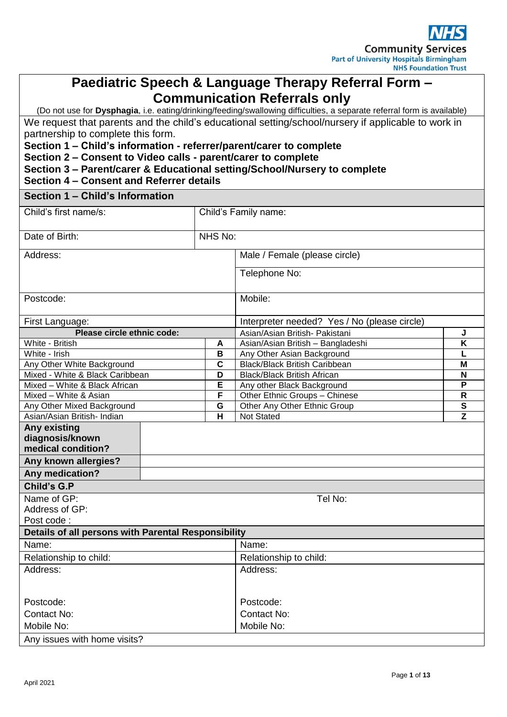

## **Paediatric Speech & Language Therapy Referral Form – Communication Referrals only**

(Do not use for **Dysphagia**, i.e. eating/drinking/feeding/swallowing difficulties, a separate referral form is available) We request that parents and the child's educational setting/school/nursery if applicable to work in partnership to complete this form.

**Section 1 – Child's information - referrer/parent/carer to complete**

**Section 2 – Consent to Video calls - parent/carer to complete**

| Section 3 - Parent/carer & Educational setting/School/Nursery to complete |  |  |  |  |
|---------------------------------------------------------------------------|--|--|--|--|
|---------------------------------------------------------------------------|--|--|--|--|

#### **Section 4 – Consent and Referrer details**

**Section 1 – Child's Information**

| <b>OGGHUILLE ONING 3 INIONIAGON</b>                 |                      |                                               |   |
|-----------------------------------------------------|----------------------|-----------------------------------------------|---|
| Child's first name/s:                               | Child's Family name: |                                               |   |
|                                                     |                      |                                               |   |
| Date of Birth:                                      | NHS No:              |                                               |   |
| Address:                                            |                      | Male / Female (please circle)                 |   |
|                                                     |                      | Telephone No:                                 |   |
|                                                     |                      |                                               |   |
| Postcode:                                           |                      | Mobile:                                       |   |
|                                                     |                      |                                               |   |
| First Language:                                     |                      | Interpreter needed? Yes / No (please circle)  |   |
| Please circle ethnic code:                          |                      | Asian/Asian British- Pakistani                | J |
| White - British                                     | A                    | Asian/Asian British - Bangladeshi             | Κ |
| White - Irish                                       | B                    | Any Other Asian Background                    |   |
| Any Other White Background                          | $\mathbf c$          | <b>Black/Black British Caribbean</b>          | M |
| Mixed - White & Black Caribbean                     | D                    | <b>Black/Black British African</b>            | N |
| Mixed - White & Black African                       | E                    | Any other Black Background                    | P |
| F<br>Mixed - White & Asian                          |                      | Other Ethnic Groups - Chinese<br>$\mathsf{R}$ |   |
| G<br>Any Other Mixed Background                     |                      | ${\bf S}$<br>Other Any Other Ethnic Group     |   |
| Asian/Asian British- Indian                         | н                    | Not Stated                                    | Z |
| <b>Any existing</b>                                 |                      |                                               |   |
| diagnosis/known                                     |                      |                                               |   |
| medical condition?                                  |                      |                                               |   |
| Any known allergies?                                |                      |                                               |   |
| Any medication?                                     |                      |                                               |   |
| <b>Child's G.P</b>                                  |                      |                                               |   |
| Name of GP:                                         |                      | Tel No:                                       |   |
| Address of GP:                                      |                      |                                               |   |
| Post code:                                          |                      |                                               |   |
| Details of all persons with Parental Responsibility |                      |                                               |   |
| Name:                                               |                      | Name:                                         |   |
| Relationship to child:                              |                      | Relationship to child:                        |   |
| Address:                                            |                      | Address:                                      |   |
|                                                     |                      |                                               |   |
| Postcode:                                           | Postcode:            |                                               |   |
| <b>Contact No:</b>                                  |                      | <b>Contact No:</b>                            |   |
| Mobile No:                                          |                      | Mobile No:                                    |   |
| Any issues with home visits?                        |                      |                                               |   |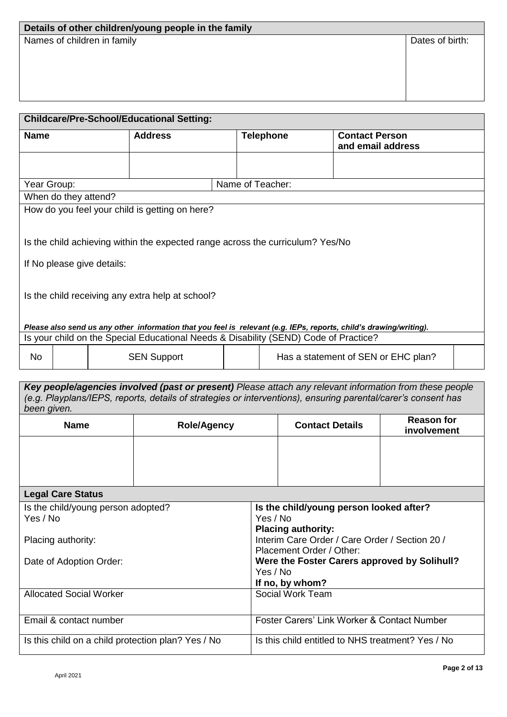# **Details of other children/young people in the family**

Names of children in family **Dates of birth:** Dates of birth:

| <b>Name</b>                         | <b>Address</b>                                                                                                                           | <b>Telephone</b> | <b>Contact Person</b><br>and email address                                                                         |
|-------------------------------------|------------------------------------------------------------------------------------------------------------------------------------------|------------------|--------------------------------------------------------------------------------------------------------------------|
|                                     |                                                                                                                                          | Name of Teacher: |                                                                                                                    |
| Year Group:<br>When do they attend? |                                                                                                                                          |                  |                                                                                                                    |
|                                     | How do you feel your child is getting on here?                                                                                           |                  |                                                                                                                    |
|                                     | Is the child achieving within the expected range across the curriculum? Yes/No                                                           |                  |                                                                                                                    |
|                                     | If No please give details:                                                                                                               |                  |                                                                                                                    |
|                                     | Is the child receiving any extra help at school?<br>Is your child on the Special Educational Needs & Disability (SEND) Code of Practice? |                  | Please also send us any other information that you feel is relevant (e.g. IEPs, reports, child's drawing/writing). |

| been given. |                    |                        |                                  |  |
|-------------|--------------------|------------------------|----------------------------------|--|
| <b>Name</b> | <b>Role/Agency</b> | <b>Contact Details</b> | <b>Reason for</b><br>involvement |  |
|             |                    |                        |                                  |  |
|             |                    |                        |                                  |  |
|             |                    |                        |                                  |  |
|             |                    |                        |                                  |  |

| <b>Legal Care Status</b>                           |                                                   |
|----------------------------------------------------|---------------------------------------------------|
| Is the child/young person adopted?                 | Is the child/young person looked after?           |
| Yes / No                                           | Yes / No                                          |
|                                                    | <b>Placing authority:</b>                         |
| Placing authority:                                 | Interim Care Order / Care Order / Section 20 /    |
|                                                    | Placement Order / Other:                          |
| Date of Adoption Order:                            | Were the Foster Carers approved by Solihull?      |
|                                                    | Yes / No                                          |
|                                                    | If no, by whom?                                   |
| <b>Allocated Social Worker</b>                     | Social Work Team                                  |
|                                                    |                                                   |
| Email & contact number                             | Foster Carers' Link Worker & Contact Number       |
|                                                    |                                                   |
| Is this child on a child protection plan? Yes / No | Is this child entitled to NHS treatment? Yes / No |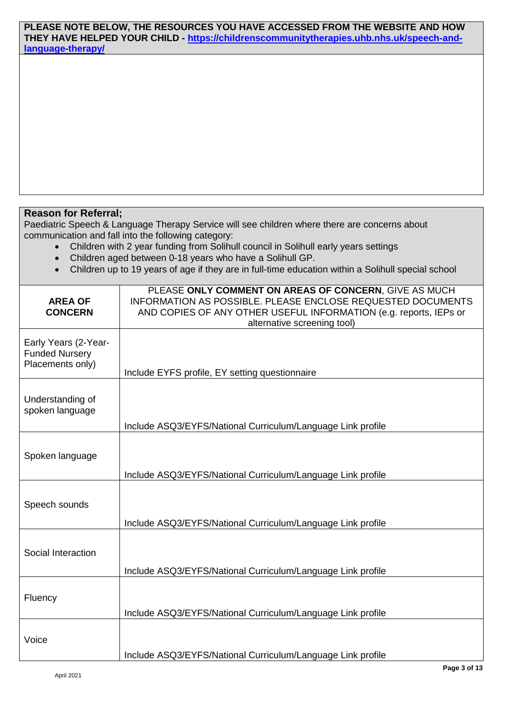#### **PLEASE NOTE BELOW, THE RESOURCES YOU HAVE ACCESSED FROM THE WEBSITE AND HOW THEY HAVE HELPED YOUR CHILD - [https://childrenscommunitytherapies.uhb.nhs.uk/speech-and](https://childrenscommunitytherapies.uhb.nhs.uk/speech-and-language-therapy/)[language-therapy/](https://childrenscommunitytherapies.uhb.nhs.uk/speech-and-language-therapy/)**

#### **Reason for Referral;**

Paediatric Speech & Language Therapy Service will see children where there are concerns about communication and fall into the following category:

- Children with 2 year funding from Solihull council in Solihull early years settings
- Children aged between 0-18 years who have a Solihull GP.
- Children up to 19 years of age if they are in full-time education within a Solihull special school

| <b>AREA OF</b><br><b>CONCERN</b>                                  | PLEASE ONLY COMMENT ON AREAS OF CONCERN, GIVE AS MUCH<br><b>INFORMATION AS POSSIBLE. PLEASE ENCLOSE REQUESTED DOCUMENTS</b><br>AND COPIES OF ANY OTHER USEFUL INFORMATION (e.g. reports, IEPs or<br>alternative screening tool) |
|-------------------------------------------------------------------|---------------------------------------------------------------------------------------------------------------------------------------------------------------------------------------------------------------------------------|
| Early Years (2-Year-<br><b>Funded Nursery</b><br>Placements only) | Include EYFS profile, EY setting questionnaire                                                                                                                                                                                  |
| Understanding of<br>spoken language                               | Include ASQ3/EYFS/National Curriculum/Language Link profile                                                                                                                                                                     |
| Spoken language                                                   | Include ASQ3/EYFS/National Curriculum/Language Link profile                                                                                                                                                                     |
| Speech sounds                                                     | Include ASQ3/EYFS/National Curriculum/Language Link profile                                                                                                                                                                     |
| Social Interaction                                                | Include ASQ3/EYFS/National Curriculum/Language Link profile                                                                                                                                                                     |
| Fluency                                                           | Include ASQ3/EYFS/National Curriculum/Language Link profile                                                                                                                                                                     |
| Voice                                                             | Include ASQ3/EYFS/National Curriculum/Language Link profile                                                                                                                                                                     |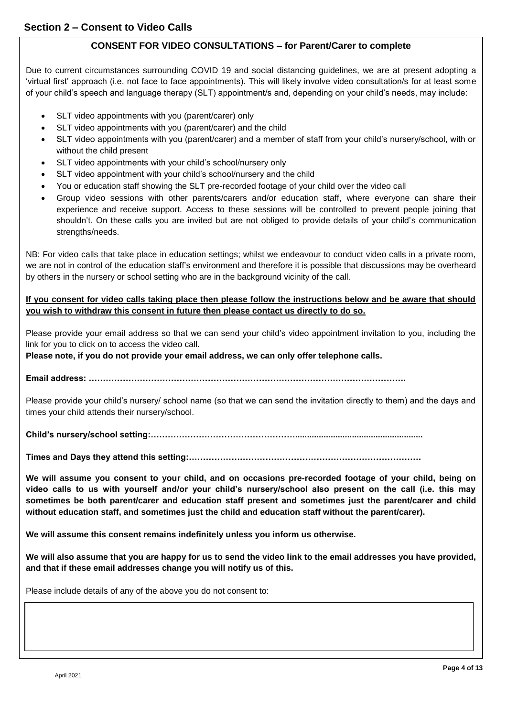#### **CONSENT FOR VIDEO CONSULTATIONS – for Parent/Carer to complete**

Due to current circumstances surrounding COVID 19 and social distancing guidelines, we are at present adopting a 'virtual first' approach (i.e. not face to face appointments). This will likely involve video consultation/s for at least some of your child's speech and language therapy (SLT) appointment/s and, depending on your child's needs, may include:

- SLT video appointments with you (parent/carer) only
- SLT video appointments with you (parent/carer) and the child
- SLT video appointments with you (parent/carer) and a member of staff from your child's nursery/school, with or without the child present
- SLT video appointments with your child's school/nursery only
- SLT video appointment with your child's school/nursery and the child
- You or education staff showing the SLT pre-recorded footage of your child over the video call
- Group video sessions with other parents/carers and/or education staff, where everyone can share their experience and receive support. Access to these sessions will be controlled to prevent people joining that shouldn't. On these calls you are invited but are not obliged to provide details of your child's communication strengths/needs.

NB: For video calls that take place in education settings; whilst we endeavour to conduct video calls in a private room, we are not in control of the education staff's environment and therefore it is possible that discussions may be overheard by others in the nursery or school setting who are in the background vicinity of the call.

#### **If you consent for video calls taking place then please follow the instructions below and be aware that should you wish to withdraw this consent in future then please contact us directly to do so.**

Please provide your email address so that we can send your child's video appointment invitation to you, including the link for you to click on to access the video call.

**Please note, if you do not provide your email address, we can only offer telephone calls.** 

**Email address: ………………………………………………………………………………………………….**

Please provide your child's nursery/ school name (so that we can send the invitation directly to them) and the days and times your child attends their nursery/school.

**Child's nursery/school setting:……………………………………………......................................................**

**Times and Days they attend this setting:……………………………………………………………………….**

**We will assume you consent to your child, and on occasions pre-recorded footage of your child, being on video calls to us with yourself and/or your child's nursery/school also present on the call (i.e. this may sometimes be both parent/carer and education staff present and sometimes just the parent/carer and child without education staff, and sometimes just the child and education staff without the parent/carer).**

**We will assume this consent remains indefinitely unless you inform us otherwise.**

**We will also assume that you are happy for us to send the video link to the email addresses you have provided, and that if these email addresses change you will notify us of this.**

Please include details of any of the above you do not consent to: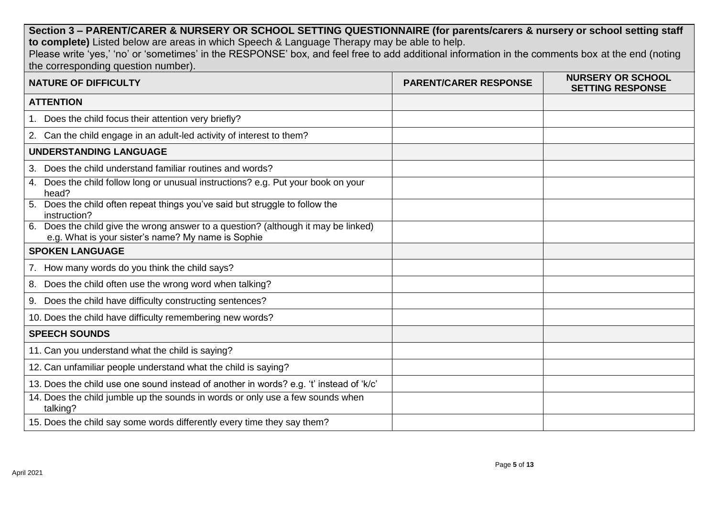**Section 3 – PARENT/CARER & NURSERY OR SCHOOL SETTING QUESTIONNAIRE (for parents/carers & nursery or school setting staff to complete)** Listed below are areas in which Speech & Language Therapy may be able to help. Please write 'yes,' 'no' or 'sometimes' in the RESPONSE' box, and feel free to add additional information in the comments box at the end (noting the corresponding question number). **NATURE OF DIFFICULTY PARENT/CARER RESPONSE NURSERY OR SCHOOL SETTING RESPONSE ATTENTION** 1. Does the child focus their attention very briefly? 2. Can the child engage in an adult-led activity of interest to them? **UNDERSTANDING LANGUAGE** 3. Does the child understand familiar routines and words? 4. Does the child follow long or unusual instructions? e.g. Put your book on your head? 5. Does the child often repeat things you've said but struggle to follow the instruction? 6. Does the child give the wrong answer to a question? (although it may be linked) e.g. What is your sister's name? My name is Sophie **SPOKEN LANGUAGE** 7. How many words do you think the child says? 8. Does the child often use the wrong word when talking? 9. Does the child have difficulty constructing sentences? 10. Does the child have difficulty remembering new words? **SPEECH SOUNDS** 11. Can you understand what the child is saying? 12. Can unfamiliar people understand what the child is saying? 13. Does the child use one sound instead of another in words? e.g. 't' instead of 'k/c' 14. Does the child jumble up the sounds in words or only use a few sounds when talking? 15. Does the child say some words differently every time they say them?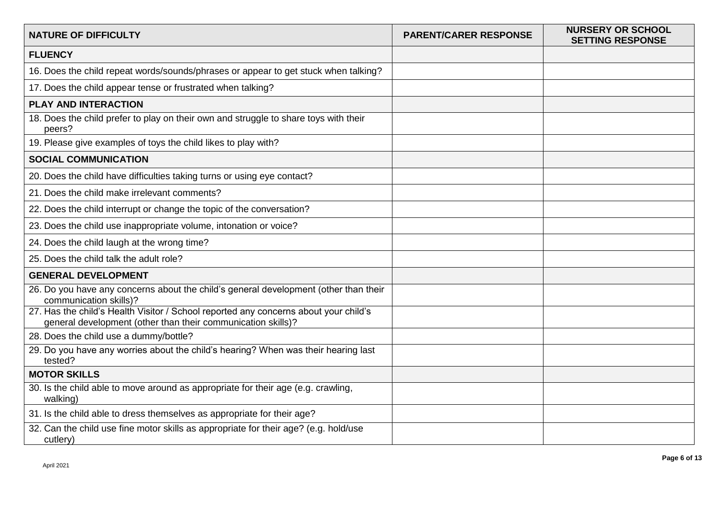| <b>NATURE OF DIFFICULTY</b>                                                                                                                          | <b>PARENT/CARER RESPONSE</b> | <b>NURSERY OR SCHOOL</b><br><b>SETTING RESPONSE</b> |
|------------------------------------------------------------------------------------------------------------------------------------------------------|------------------------------|-----------------------------------------------------|
| <b>FLUENCY</b>                                                                                                                                       |                              |                                                     |
| 16. Does the child repeat words/sounds/phrases or appear to get stuck when talking?                                                                  |                              |                                                     |
| 17. Does the child appear tense or frustrated when talking?                                                                                          |                              |                                                     |
| <b>PLAY AND INTERACTION</b>                                                                                                                          |                              |                                                     |
| 18. Does the child prefer to play on their own and struggle to share toys with their<br>peers?                                                       |                              |                                                     |
| 19. Please give examples of toys the child likes to play with?                                                                                       |                              |                                                     |
| <b>SOCIAL COMMUNICATION</b>                                                                                                                          |                              |                                                     |
| 20. Does the child have difficulties taking turns or using eye contact?                                                                              |                              |                                                     |
| 21. Does the child make irrelevant comments?                                                                                                         |                              |                                                     |
| 22. Does the child interrupt or change the topic of the conversation?                                                                                |                              |                                                     |
| 23. Does the child use inappropriate volume, intonation or voice?                                                                                    |                              |                                                     |
| 24. Does the child laugh at the wrong time?                                                                                                          |                              |                                                     |
| 25. Does the child talk the adult role?                                                                                                              |                              |                                                     |
| <b>GENERAL DEVELOPMENT</b>                                                                                                                           |                              |                                                     |
| 26. Do you have any concerns about the child's general development (other than their<br>communication skills)?                                       |                              |                                                     |
| 27. Has the child's Health Visitor / School reported any concerns about your child's<br>general development (other than their communication skills)? |                              |                                                     |
| 28. Does the child use a dummy/bottle?                                                                                                               |                              |                                                     |
| 29. Do you have any worries about the child's hearing? When was their hearing last<br>tested?                                                        |                              |                                                     |
| <b>MOTOR SKILLS</b>                                                                                                                                  |                              |                                                     |
| 30. Is the child able to move around as appropriate for their age (e.g. crawling,<br>walking)                                                        |                              |                                                     |
| 31. Is the child able to dress themselves as appropriate for their age?                                                                              |                              |                                                     |
| 32. Can the child use fine motor skills as appropriate for their age? (e.g. hold/use<br>cutlery)                                                     |                              |                                                     |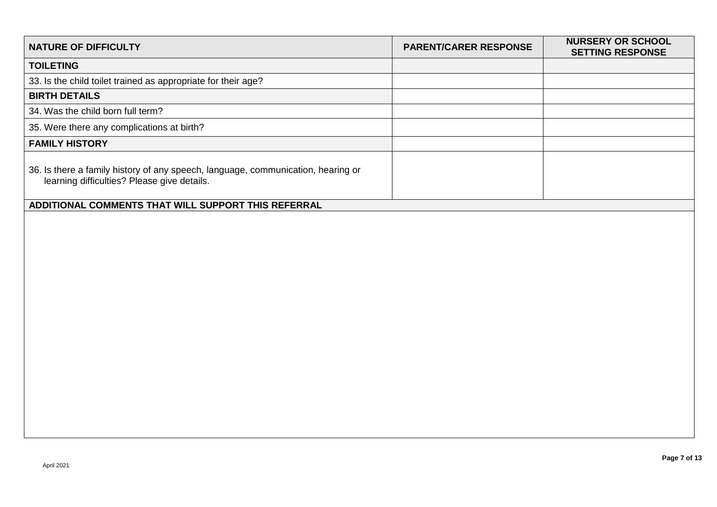| <b>NATURE OF DIFFICULTY</b>                                                                                                     | <b>PARENT/CARER RESPONSE</b> | <b>NURSERY OR SCHOOL</b><br><b>SETTING RESPONSE</b> |
|---------------------------------------------------------------------------------------------------------------------------------|------------------------------|-----------------------------------------------------|
| <b>TOILETING</b>                                                                                                                |                              |                                                     |
| 33. Is the child toilet trained as appropriate for their age?                                                                   |                              |                                                     |
| <b>BIRTH DETAILS</b>                                                                                                            |                              |                                                     |
| 34. Was the child born full term?                                                                                               |                              |                                                     |
| 35. Were there any complications at birth?                                                                                      |                              |                                                     |
| <b>FAMILY HISTORY</b>                                                                                                           |                              |                                                     |
| 36. Is there a family history of any speech, language, communication, hearing or<br>learning difficulties? Please give details. |                              |                                                     |
| ADDITIONAL COMMENTS THAT WILL SUPPORT THIS REFERRAL                                                                             |                              |                                                     |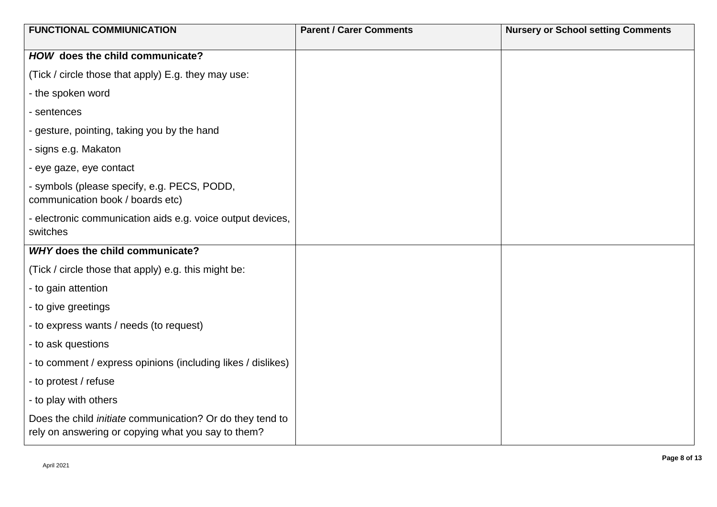| <b>FUNCTIONAL COMMIUNICATION</b>                                                                                       | <b>Parent / Carer Comments</b> | <b>Nursery or School setting Comments</b> |
|------------------------------------------------------------------------------------------------------------------------|--------------------------------|-------------------------------------------|
| HOW does the child communicate?                                                                                        |                                |                                           |
| (Tick / circle those that apply) E.g. they may use:                                                                    |                                |                                           |
| - the spoken word                                                                                                      |                                |                                           |
| - sentences                                                                                                            |                                |                                           |
| - gesture, pointing, taking you by the hand                                                                            |                                |                                           |
| - signs e.g. Makaton                                                                                                   |                                |                                           |
| - eye gaze, eye contact                                                                                                |                                |                                           |
| - symbols (please specify, e.g. PECS, PODD,<br>communication book / boards etc)                                        |                                |                                           |
| - electronic communication aids e.g. voice output devices,<br>switches                                                 |                                |                                           |
| <b>WHY does the child communicate?</b>                                                                                 |                                |                                           |
| (Tick / circle those that apply) e.g. this might be:                                                                   |                                |                                           |
| - to gain attention                                                                                                    |                                |                                           |
| - to give greetings                                                                                                    |                                |                                           |
| - to express wants / needs (to request)                                                                                |                                |                                           |
| - to ask questions                                                                                                     |                                |                                           |
| - to comment / express opinions (including likes / dislikes)                                                           |                                |                                           |
| - to protest / refuse                                                                                                  |                                |                                           |
| - to play with others                                                                                                  |                                |                                           |
| Does the child <i>initiate</i> communication? Or do they tend to<br>rely on answering or copying what you say to them? |                                |                                           |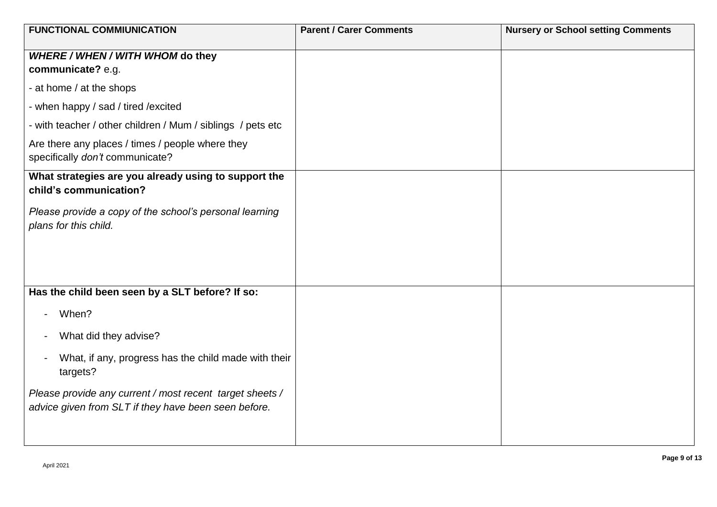| <b>FUNCTIONAL COMMIUNICATION</b>                                                                                 | <b>Parent / Carer Comments</b> | <b>Nursery or School setting Comments</b> |
|------------------------------------------------------------------------------------------------------------------|--------------------------------|-------------------------------------------|
| WHERE / WHEN / WITH WHOM do they<br>communicate? e.g.                                                            |                                |                                           |
| - at home / at the shops                                                                                         |                                |                                           |
| - when happy / sad / tired / excited                                                                             |                                |                                           |
| - with teacher / other children / Mum / siblings / pets etc                                                      |                                |                                           |
| Are there any places / times / people where they<br>specifically don't communicate?                              |                                |                                           |
| What strategies are you already using to support the<br>child's communication?                                   |                                |                                           |
| Please provide a copy of the school's personal learning<br>plans for this child.                                 |                                |                                           |
|                                                                                                                  |                                |                                           |
| Has the child been seen by a SLT before? If so:                                                                  |                                |                                           |
| When?<br>$\overline{\phantom{a}}$                                                                                |                                |                                           |
| What did they advise?<br>$\overline{\phantom{a}}$                                                                |                                |                                           |
| What, if any, progress has the child made with their<br>$\overline{a}$<br>targets?                               |                                |                                           |
| Please provide any current / most recent target sheets /<br>advice given from SLT if they have been seen before. |                                |                                           |
|                                                                                                                  |                                |                                           |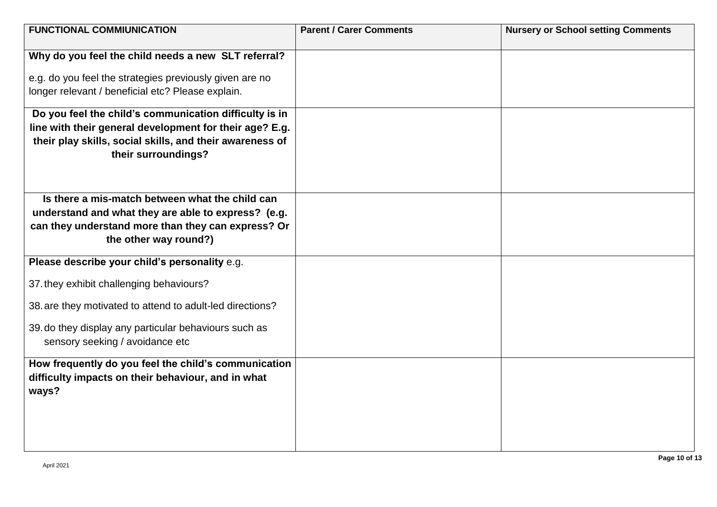| <b>FUNCTIONAL COMMIUNICATION</b>                                                         | <b>Parent / Carer Comments</b> | <b>Nursery or School setting Comments</b> |
|------------------------------------------------------------------------------------------|--------------------------------|-------------------------------------------|
| Why do you feel the child needs a new SLT referral?                                      |                                |                                           |
|                                                                                          |                                |                                           |
| e.g. do you feel the strategies previously given are no                                  |                                |                                           |
| longer relevant / beneficial etc? Please explain.                                        |                                |                                           |
| Do you feel the child's communication difficulty is in                                   |                                |                                           |
| line with their general development for their age? E.g.                                  |                                |                                           |
| their play skills, social skills, and their awareness of                                 |                                |                                           |
| their surroundings?                                                                      |                                |                                           |
|                                                                                          |                                |                                           |
| Is there a mis-match between what the child can                                          |                                |                                           |
| understand and what they are able to express? (e.g.                                      |                                |                                           |
| can they understand more than they can express? Or                                       |                                |                                           |
| the other way round?)                                                                    |                                |                                           |
| Please describe your child's personality e.g.                                            |                                |                                           |
|                                                                                          |                                |                                           |
| 37. they exhibit challenging behaviours?                                                 |                                |                                           |
| 38. are they motivated to attend to adult-led directions?                                |                                |                                           |
|                                                                                          |                                |                                           |
| 39. do they display any particular behaviours such as<br>sensory seeking / avoidance etc |                                |                                           |
|                                                                                          |                                |                                           |
| How frequently do you feel the child's communication                                     |                                |                                           |
| difficulty impacts on their behaviour, and in what                                       |                                |                                           |
| ways?                                                                                    |                                |                                           |
|                                                                                          |                                |                                           |
|                                                                                          |                                |                                           |
|                                                                                          |                                |                                           |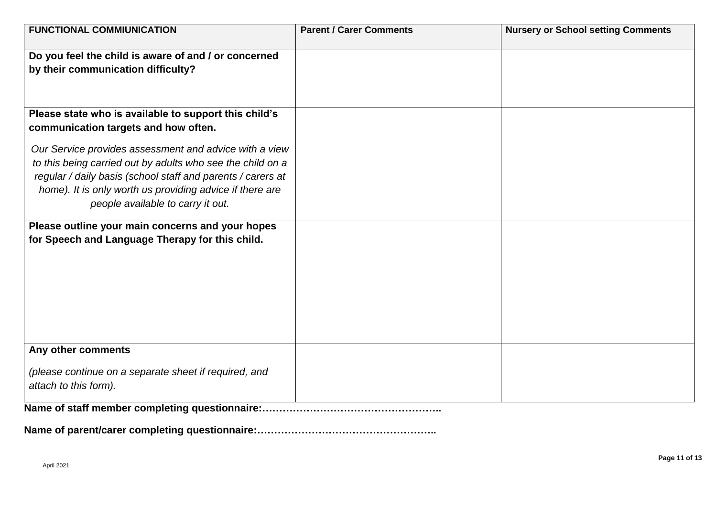| <b>FUNCTIONAL COMMIUNICATION</b>                                                                                        | <b>Parent / Carer Comments</b> | <b>Nursery or School setting Comments</b> |
|-------------------------------------------------------------------------------------------------------------------------|--------------------------------|-------------------------------------------|
| Do you feel the child is aware of and / or concerned                                                                    |                                |                                           |
| by their communication difficulty?                                                                                      |                                |                                           |
|                                                                                                                         |                                |                                           |
|                                                                                                                         |                                |                                           |
| Please state who is available to support this child's<br>communication targets and how often.                           |                                |                                           |
|                                                                                                                         |                                |                                           |
| Our Service provides assessment and advice with a view                                                                  |                                |                                           |
| to this being carried out by adults who see the child on a                                                              |                                |                                           |
| regular / daily basis (school staff and parents / carers at<br>home). It is only worth us providing advice if there are |                                |                                           |
| people available to carry it out.                                                                                       |                                |                                           |
|                                                                                                                         |                                |                                           |
| Please outline your main concerns and your hopes                                                                        |                                |                                           |
| for Speech and Language Therapy for this child.                                                                         |                                |                                           |
|                                                                                                                         |                                |                                           |
|                                                                                                                         |                                |                                           |
|                                                                                                                         |                                |                                           |
|                                                                                                                         |                                |                                           |
|                                                                                                                         |                                |                                           |
|                                                                                                                         |                                |                                           |
| Any other comments                                                                                                      |                                |                                           |
| (please continue on a separate sheet if required, and                                                                   |                                |                                           |
| attach to this form).                                                                                                   |                                |                                           |
|                                                                                                                         |                                |                                           |

**Name of staff member completing questionnaire:……………………………………………..** 

**Name of parent/carer completing questionnaire:……………………………………………..**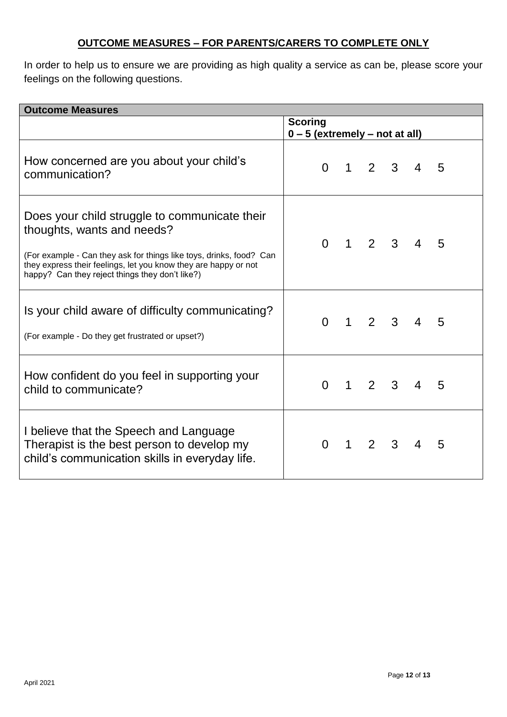### **OUTCOME MEASURES – FOR PARENTS/CARERS TO COMPLETE ONLY**

In order to help us to ensure we are providing as high quality a service as can be, please score your feelings on the following questions.

| <b>Outcome Measures</b>                                                                                                                                                                                                                                                  |                                                    |              |                |              |                |   |
|--------------------------------------------------------------------------------------------------------------------------------------------------------------------------------------------------------------------------------------------------------------------------|----------------------------------------------------|--------------|----------------|--------------|----------------|---|
|                                                                                                                                                                                                                                                                          | <b>Scoring</b><br>$0 - 5$ (extremely – not at all) |              |                |              |                |   |
| How concerned are you about your child's<br>communication?                                                                                                                                                                                                               | $\Omega$                                           | $\mathbf 1$  | $\overline{2}$ | $\mathbf{3}$ | 4              | 5 |
| Does your child struggle to communicate their<br>thoughts, wants and needs?<br>(For example - Can they ask for things like toys, drinks, food? Can<br>they express their feelings, let you know they are happy or not<br>happy? Can they reject things they don't like?) | $\Omega$                                           | $\mathbf 1$  |                | 2 3          | $\overline{4}$ | 5 |
| Is your child aware of difficulty communicating?<br>(For example - Do they get frustrated or upset?)                                                                                                                                                                     | $\Omega$                                           | $\mathbf 1$  |                | 2 3          | 4              | 5 |
| How confident do you feel in supporting your<br>child to communicate?                                                                                                                                                                                                    | $\Omega$                                           | $\mathbf{1}$ | 2 3            |              | 4              | 5 |
| I believe that the Speech and Language<br>Therapist is the best person to develop my<br>child's communication skills in everyday life.                                                                                                                                   | $\Omega$                                           | $\mathbf 1$  |                | 2 3          | $\overline{4}$ | 5 |